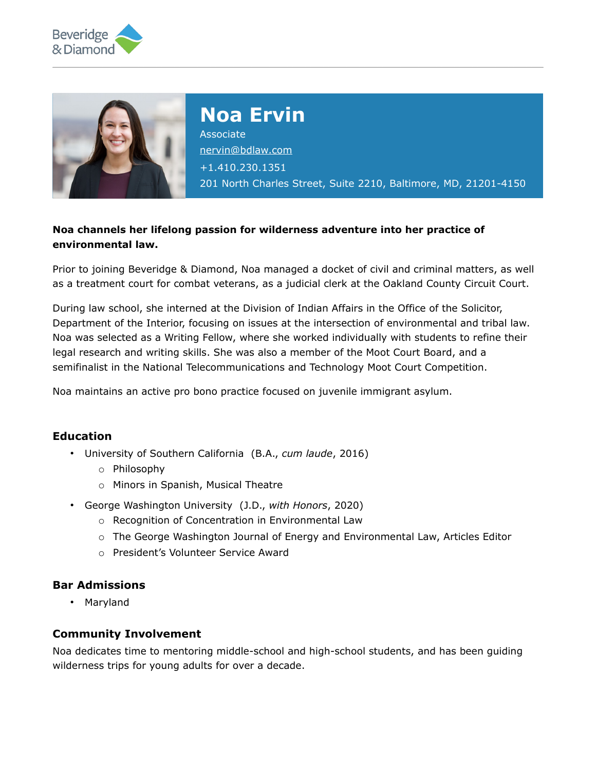



# **Noa Ervin**

**Associate** [nervin@bdlaw.com](mailto:nervin@bdlaw.com) +1.410.230.1351 201 North Charles Street, Suite 2210, Baltimore, MD, 21201-4150

## **Noa channels her lifelong passion for wilderness adventure into her practice of environmental law.**

Prior to joining Beveridge & Diamond, Noa managed a docket of civil and criminal matters, as well as a treatment court for combat veterans, as a judicial clerk at the Oakland County Circuit Court.

During law school, she interned at the Division of Indian Affairs in the Office of the Solicitor, Department of the Interior, focusing on issues at the intersection of environmental and tribal law. Noa was selected as a Writing Fellow, where she worked individually with students to refine their legal research and writing skills. She was also a member of the Moot Court Board, and a semifinalist in the National Telecommunications and Technology Moot Court Competition.

Noa maintains an active pro bono practice focused on juvenile immigrant asylum.

## **Education**

- University of Southern California (B.A., *cum laude*, 2016)
	- o Philosophy
	- o Minors in Spanish, Musical Theatre
- George Washington University (J.D., *with Honors*, 2020)
	- o Recognition of Concentration in Environmental Law
	- $\circ$  The George Washington Journal of Energy and Environmental Law, Articles Editor
	- o President's Volunteer Service Award

#### **Bar Admissions**

• Maryland

#### **Community Involvement**

Noa dedicates time to mentoring middle-school and high-school students, and has been guiding wilderness trips for young adults for over a decade.